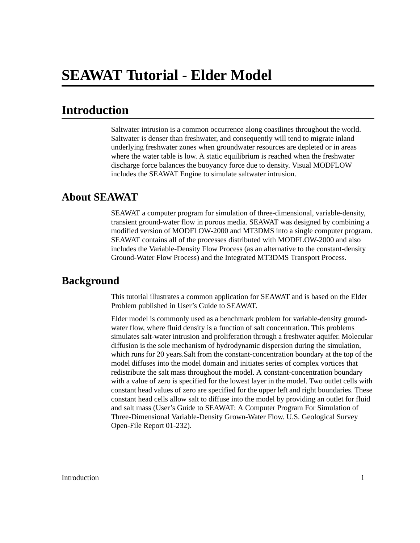# **Introduction**

Saltwater intrusion is a common occurrence along coastlines throughout the world. Saltwater is denser than freshwater, and consequently will tend to migrate inland underlying freshwater zones when groundwater resources are depleted or in areas where the water table is low. A static equilibrium is reached when the freshwater discharge force balances the buoyancy force due to density. Visual MODFLOW includes the SEAWAT Engine to simulate saltwater intrusion.

## **About SEAWAT**

SEAWAT a computer program for simulation of three-dimensional, variable-density, transient ground-water flow in porous media. SEAWAT was designed by combining a modified version of MODFLOW-2000 and MT3DMS into a single computer program. SEAWAT contains all of the processes distributed with MODFLOW-2000 and also includes the Variable-Density Flow Process (as an alternative to the constant-density Ground-Water Flow Process) and the Integrated MT3DMS Transport Process.

## **Background**

This tutorial illustrates a common application for SEAWAT and is based on the Elder Problem published in User's Guide to SEAWAT.

Elder model is commonly used as a benchmark problem for variable-density groundwater flow, where fluid density is a function of salt concentration. This problems simulates salt-water intrusion and proliferation through a freshwater aquifer. Molecular diffusion is the sole mechanism of hydrodynamic dispersion during the simulation, which runs for 20 years.Salt from the constant-concentration boundary at the top of the model diffuses into the model domain and initiates series of complex vortices that redistribute the salt mass throughout the model. A constant-concentration boundary with a value of zero is specified for the lowest layer in the model. Two outlet cells with constant head values of zero are specified for the upper left and right boundaries. These constant head cells allow salt to diffuse into the model by providing an outlet for fluid and salt mass (User's Guide to SEAWAT: A Computer Program For Simulation of Three-Dimensional Variable-Density Grown-Water Flow. U.S. Geological Survey Open-File Report 01-232).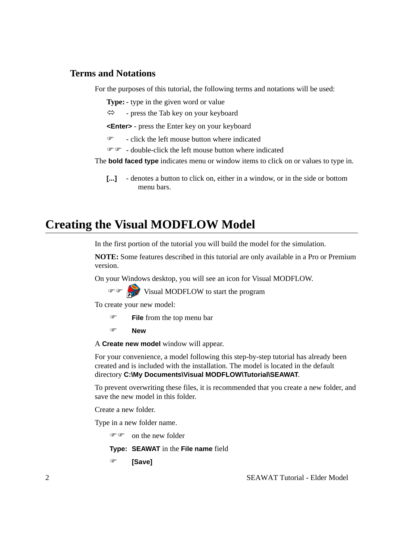### **Terms and Notations**

For the purposes of this tutorial, the following terms and notations will be used:

**Type:**- type in the given word or value

 $\Leftrightarrow$  - press the Tab key on your keyboard

**<Enter>** - press the Enter key on your keyboard

 $\mathcal{F}$  - click the left mouse button where indicated

 $\mathcal{F}$  - double-click the left mouse button where indicated

The **bold faced type** indicates menu or window items to click on or values to type in.

**[...]** - denotes a button to click on, either in a window, or in the side or bottom menu bars.

# **Creating the Visual MODFLOW Model**

In the first portion of the tutorial you will build the model for the simulation.

**NOTE:** Some features described in this tutorial are only available in a Pro or Premium version.

On your Windows desktop, you will see an icon for Visual MODFLOW.

 $\mathcal{F}$   $\mathcal{F}$  Visual MODFLOW to start the program

To create your new model:

- ) **File** from the top menu bar
- ) **New**

A **Create new model** window will appear.

For your convenience, a model following this step-by-step tutorial has already been created and is included with the installation. The model is located in the default directory **C:\My Documents\Visual MODFLOW\Tutorial\SEAWAT**.

To prevent overwriting these files, it is recommended that you create a new folder, and save the new model in this folder.

Create a new folder.

Type in a new folder name.

 $\mathscr{F}$  on the new folder

**Type: SEAWAT** in the **File name** field

) **[Save]**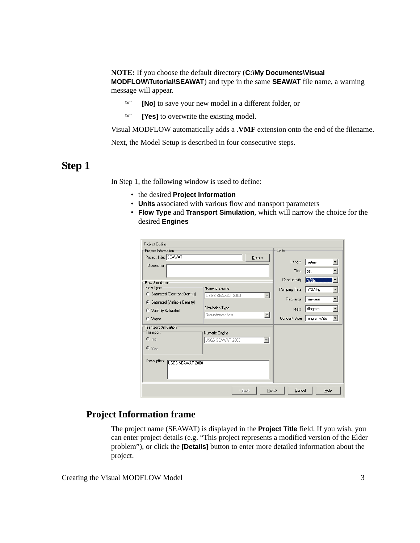#### **NOTE:** If you choose the default directory (**C:\My Documents\Visual MODFLOW\Tutorial\SEAWAT**) and type in the same **SEAWAT** file name, a warning

message will appear.

- ) **[No]** to save your new model in a different folder, or
- ) **[Yes]** to overwrite the existing model.

Visual MODFLOW automatically adds a .**VMF** extension onto the end of the filename.

Next, the Model Setup is described in four consecutive steps.

## **Step 1**

In Step 1, the following window is used to define:

- the desired **Project Information**
- **Units** associated with various flow and transport parameters
- **Flow Type** and **Transport Simulation**, which will narrow the choice for the desired **Engines**

| Project Outline                  |                  |                          |               |                  |
|----------------------------------|------------------|--------------------------|---------------|------------------|
| Project Information              |                  |                          | <b>Units</b>  |                  |
| Project Title: SEAWAT            |                  | Details                  |               |                  |
| Description:                     |                  |                          | Length        | meters           |
|                                  |                  |                          | Time          | day              |
| <b>Flow Simulation</b>           |                  |                          | Conductivity  | m/day            |
| Flow Type <sup>-</sup>           | Numeric Engine   |                          | Pumping Rate  | m^3/day<br>▼     |
| C Saturated (Constant Density)   | USGS SEAWAT 2000 | $\overline{\phantom{a}}$ |               |                  |
| C Saturated (Variable Density)   |                  |                          | Recharge      | mm/year          |
| C Variably Saturated             | Simulation Type  |                          | Mass          | kilogram         |
| C Vapor                          | Groundwater flow | $\overline{\phantom{m}}$ | Concentration | milligrams/liter |
| Transport Simulation             |                  |                          |               |                  |
| Transport                        | Numeric Engine   |                          |               |                  |
| $C$ No                           | USGS SEAWAT 2000 | $\overline{\mathbf v}$   |               |                  |
| $C$ Yes                          |                  |                          |               |                  |
| Description:<br>USGS SEAWAT 2000 |                  |                          |               |                  |
|                                  | < Back           | Next >                   | Cancel        | Help             |

## **Project Information frame**

The project name (SEAWAT) is displayed in the **Project Title** field. If you wish, you can enter project details (e.g. "This project represents a modified version of the Elder problem"), or click the **[Details]** button to enter more detailed information about the project.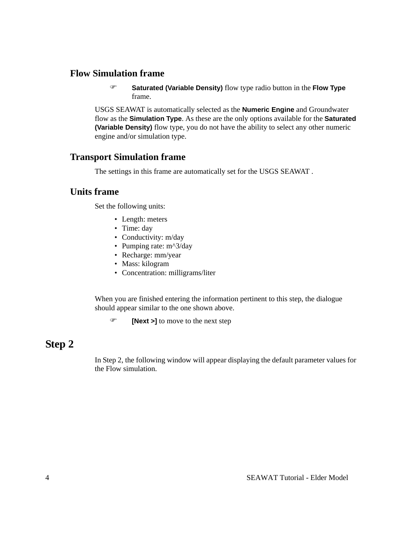## **Flow Simulation frame**

) **Saturated (Variable Density)** flow type radio button in the **Flow Type** frame.

USGS SEAWAT is automatically selected as the **Numeric Engine** and Groundwater flow as the **Simulation Type**. As these are the only options available for the **Saturated (Variable Density)** flow type, you do not have the ability to select any other numeric engine and/or simulation type.

### **Transport Simulation frame**

The settings in this frame are automatically set for the USGS SEAWAT .

### **Units frame**

Set the following units:

- Length: meters
- Time: day
- Conductivity: m/day
- Pumping rate: m^3/day
- Recharge: mm/year
- Mass: kilogram
- Concentration: milligrams/liter

When you are finished entering the information pertinent to this step, the dialogue should appear similar to the one shown above.

) **[Next >]** to move to the next step

## **Step 2**

In Step 2, the following window will appear displaying the default parameter values for the Flow simulation.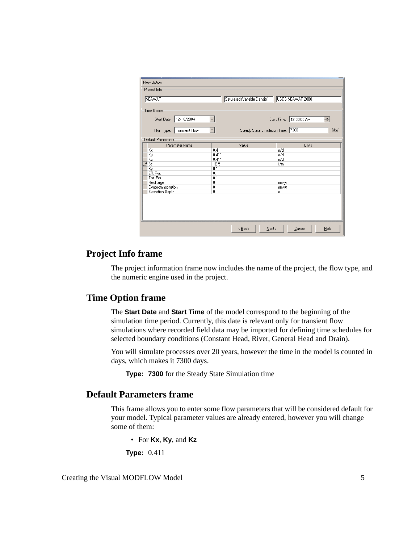| Flow Option<br>Project Info |                                    |                                      |
|-----------------------------|------------------------------------|--------------------------------------|
| SEAWAT                      | Saturated (Variable Density)       | USGS SEAWAT 2000                     |
| Time Option                 |                                    |                                      |
|                             |                                    |                                      |
| Start Date: 12/ 6/2004      |                                    | 12:00:00 AM<br>Start Time:<br>$\div$ |
| Run Type:<br>Transient Flow | Steady State Simulation Time:<br>▼ | 7300<br>[day]                        |
| Default Parameters          |                                    |                                      |
| Parameter Name              | Value                              | Units                                |
| Кx                          | 0.411                              | m/d                                  |
| Κy<br>Kz                    | 0.411<br>0.411                     | m/d<br>m/d                           |
| Ø<br>s <sub>s</sub>         | $1E-5$                             | 1/m                                  |
| Sy                          | 0.1                                |                                      |
| Eff. Por.                   | 0.1                                |                                      |
| Tot. Por.                   | 0.1                                |                                      |
| Recharge                    | 0                                  | mm/yr                                |
| Evapotranspiration          | 0                                  | mm/yr                                |
| Extinction Depth            | 0                                  | m                                    |
|                             |                                    |                                      |
|                             | $\leq$ Back<br>$N$ ext >           | Help<br>Cancel                       |

### **Project Info frame**

The project information frame now includes the name of the project, the flow type, and the numeric engine used in the project.

### **Time Option frame**

The **Start Date** and **Start Time** of the model correspond to the beginning of the simulation time period. Currently, this date is relevant only for transient flow simulations where recorded field data may be imported for defining time schedules for selected boundary conditions (Constant Head, River, General Head and Drain).

You will simulate processes over 20 years, however the time in the model is counted in days, which makes it 7300 days.

**Type: 7300** for the Steady State Simulation time

### **Default Parameters frame**

This frame allows you to enter some flow parameters that will be considered default for your model. Typical parameter values are already entered, however you will change some of them:

• For **Kx**, **Ky**, and **Kz**

**Type:** 0.411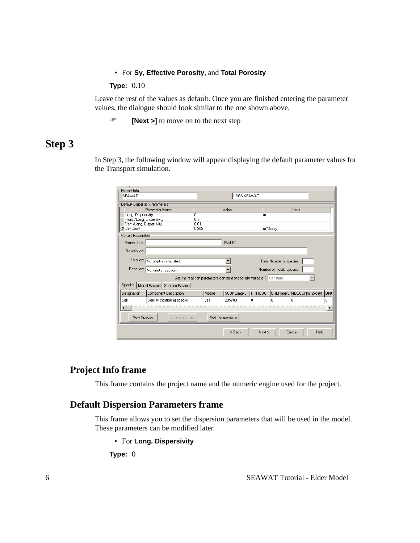#### • For **Sy**, **Effective Porosity**, and **Total Porosity**

#### **Type:** 0.10

Leave the rest of the values as default. Once you are finished entering the parameter values, the dialogue should look similar to the one shown above.

) **[Next >]** to move on to the next step

## **Step 3**

In Step 3, the following window will appear displaying the default parameter values for the Transport simulation.

| Project Info                  |                                 |                                                                       |                    |        |                           |                           |                       |
|-------------------------------|---------------------------------|-----------------------------------------------------------------------|--------------------|--------|---------------------------|---------------------------|-----------------------|
| <b>SEAWAT</b>                 |                                 |                                                                       | <b>USGS SEAWAT</b> |        |                           |                           |                       |
| Default Dispersion Parameters |                                 |                                                                       |                    |        |                           |                           |                       |
|                               | Parameter Name                  |                                                                       | Value              |        |                           | Units                     |                       |
| Long. Dispersivity            |                                 | 0                                                                     |                    | m      |                           |                           |                       |
| Horiz./Long. Dispersivity     |                                 | 0.1                                                                   |                    |        |                           |                           |                       |
| Vert./Long. Dispersivity      |                                 | 0.01                                                                  |                    |        |                           |                           |                       |
| <b><i>O</i></b> Diff Coeff    |                                 | 0.308                                                                 |                    |        | m <sup>2/day</sup>        |                           |                       |
| Variant Parameters            |                                 |                                                                       |                    |        |                           |                           |                       |
| Variant Title:                |                                 |                                                                       | <b>Nar0011</b>     |        |                           |                           |                       |
| Description:                  |                                 |                                                                       |                    |        |                           |                           |                       |
|                               | Sorption: No sorption simulated |                                                                       |                    |        | Total Number of species:  |                           |                       |
|                               | Reaction: No kinetic reactions  |                                                                       |                    |        | Number of mobile species: |                           |                       |
|                               |                                 | Are the reaction parameters constant or spatially variable ? Constant |                    |        |                           |                           |                       |
| Species                       | Model Params   Species Params   |                                                                       |                    |        |                           |                           |                       |
| Designation                   | Component Description           | Mobile                                                                | SCONC[mg/L]        | DRHODC |                           | CREF[mg/L MDCOEF[m^2/day] | DML                   |
| Salt                          | Density controlling species     | ves                                                                   | 285700             | 0      | f)                        | n                         | 0                     |
| $\left  \cdot \right $        |                                 |                                                                       |                    |        |                           |                           | $\blacktriangleright$ |
| New Species                   | Delete Species                  |                                                                       | Add Temperature    |        |                           |                           |                       |
|                               |                                 |                                                                       | < Back             | Next > |                           | Cancel                    | Help                  |

## **Project Info frame**

This frame contains the project name and the numeric engine used for the project.

## **Default Dispersion Parameters frame**

This frame allows you to set the dispersion parameters that will be used in the model. These parameters can be modified later.

• For **Long. Dispersivity**

**Type:** 0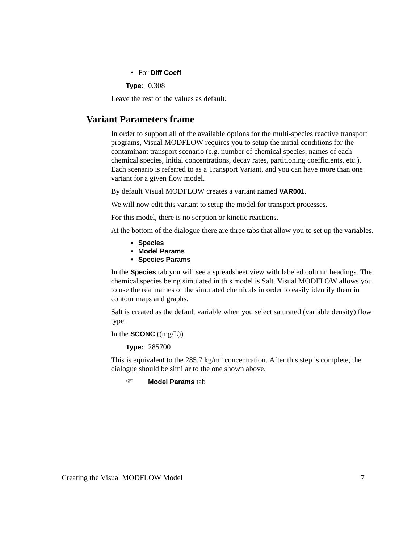• For **Diff Coeff**

**Type:** 0.308

Leave the rest of the values as default.

## **Variant Parameters frame**

In order to support all of the available options for the multi-species reactive transport programs, Visual MODFLOW requires you to setup the initial conditions for the contaminant transport scenario (e.g. number of chemical species, names of each chemical species, initial concentrations, decay rates, partitioning coefficients, etc.). Each scenario is referred to as a Transport Variant, and you can have more than one variant for a given flow model.

By default Visual MODFLOW creates a variant named **VAR001**.

We will now edit this variant to setup the model for transport processes.

For this model, there is no sorption or kinetic reactions.

At the bottom of the dialogue there are three tabs that allow you to set up the variables.

- **Species**
- **Model Params**
- **Species Params**

In the **Species** tab you will see a spreadsheet view with labeled column headings. The chemical species being simulated in this model is Salt. Visual MODFLOW allows you to use the real names of the simulated chemicals in order to easily identify them in contour maps and graphs.

Salt is created as the default variable when you select saturated (variable density) flow type.

In the **SCONC** ((mg/L))

**Type:** 285700

This is equivalent to the 285.7 kg/m<sup>3</sup> concentration. After this step is complete, the dialogue should be similar to the one shown above.

) **Model Params** tab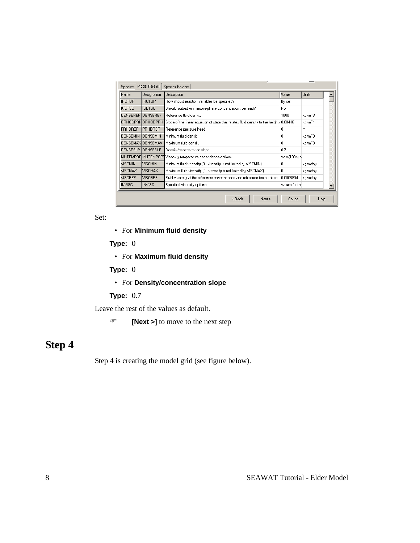| <b>Species</b>  | Model Params       | Species Params                                                                                             |                |         |
|-----------------|--------------------|------------------------------------------------------------------------------------------------------------|----------------|---------|
| Name            | Designation        | Description                                                                                                | Value          | Units   |
| <b>IRCTOP</b>   | <b>IRCTOP</b>      | How should reaction variables be specified?                                                                | By cell        |         |
| <b>IGETSC</b>   | <b>IGETSC</b>      | Should sorbed or immobile-phase concentrations be read?                                                    | No.            |         |
| <b>DENSEREF</b> | DENSEREF           | Reference fluid density                                                                                    | 1000           | kg/m^3  |
|                 |                    | DRHODPRH DRHODPRHI Slope of the linear equation of state that relates fluid density to the height (0.00446 |                | kg/m^4  |
| <b>PRHDREF</b>  | <b>PRHDREF</b>     | Reference pressure head                                                                                    | 0              | m       |
| <b>DENSEMIN</b> | <b>DENSEMIN</b>    | Minimum fluid density                                                                                      | 0              | kg/m^3  |
|                 | DENSEMAXIDENSEMAX  | Maximum fluid density                                                                                      | 0.             | kg/m^3  |
| <b>DENSESLP</b> | DENSESLP           | Density/concentration slope                                                                                | 0.7            |         |
|                 | MUTEMPOFIMUTEMPOP1 | Viscosity temperature dependence options                                                                   | Voss[1984] p   |         |
| <b>VISCMIN</b>  | <b>VISCMIN</b>     | Minimum fluid viscosity (0 - viscosity is not limited by VISCMIN).                                         | 0              | kg/mday |
| <b>VISCMAX</b>  | <b>VISCMAX</b>     | Maximum fluid viscosity (0 - viscosity is not limited by VISCMAX)                                          | 0.             | kg/mday |
| <b>VISCREF</b>  | <b>VISCREF</b>     | Fluid viscosity at the reference concentration and reference temperature                                   | 0.0008904      | kg/mday |
| <b>INVISC</b>   | <b>INVISC</b>      | Specified viscosity options                                                                                | Values for the |         |
|                 |                    | < Back<br>Next >                                                                                           | Cancel         | Help    |

Set:

• For **Minimum fluid density**

**Type:** 0

• For **Maximum fluid density**

**Type:** 0

• For **Density/concentration slope**

**Type:** 0.7

Leave the rest of the values as default.

) **[Next >]** to move to the next step

# **Step 4**

Step 4 is creating the model grid (see figure below).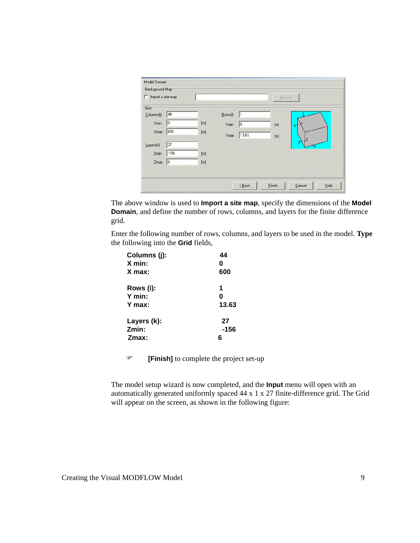|                       |     |         |       | Browse      |  |
|-----------------------|-----|---------|-------|-------------|--|
| Grid                  |     |         |       |             |  |
| 44<br>Columns(j)      |     | Rows(i) | I1    |             |  |
| 10<br>Xmin            | [m] | Ymin    | 10    | [m]         |  |
| 600<br>Xmax           | [m] | Ymax    | 13.63 | $[{\sf m}]$ |  |
| 27<br>Layers(k)       |     |         |       |             |  |
| $-156$<br>Zmin        | [m] |         |       |             |  |
| $\sqrt{6}$<br>$Z$ max | [m] |         |       |             |  |
|                       |     |         |       |             |  |

The above window is used to **Import a site map**, specify the dimensions of the **Model Domain**, and define the number of rows, columns, and layers for the finite difference grid.

Enter the following number of rows, columns, and layers to be used in the model. **Type** the following into the **Grid** fields,

| 44    |
|-------|
| 0     |
| 600   |
| 1     |
| 0     |
| 13.63 |
| 27    |
| -156  |
| 6     |
|       |

) **[Finish]** to complete the project set-up

The model setup wizard is now completed, and the **Input** menu will open with an automatically generated uniformly spaced 44 x 1 x 27 finite-difference grid. The Grid will appear on the screen, as shown in the following figure: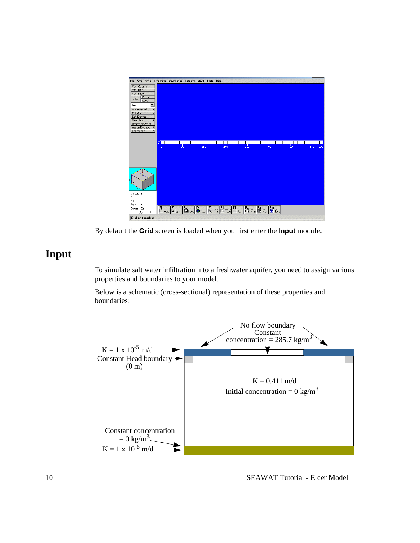

By default the **Grid** screen is loaded when you first enter the **Input** module.

## **Input**

To simulate salt water infiltration into a freshwater aquifer, you need to assign various properties and boundaries to your model.

Below is a schematic (cross-sectional) representation of these properties and boundaries:

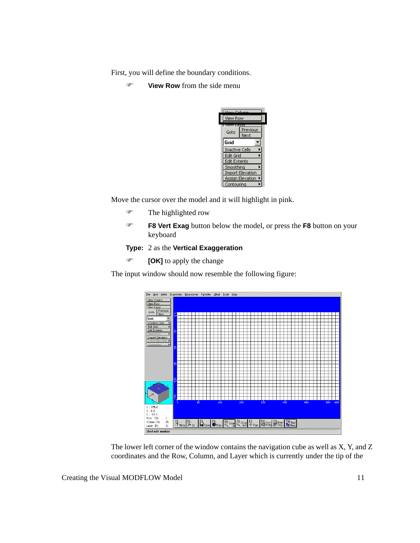First, you will define the boundary conditions.

) **View Row** from the side menu



Move the cursor over the model and it will highlight in pink.

- $\mathcal{F}$  The highlighted row
- ) **F8 Vert Exag** button below the model, or press the **F8** button on your keyboard

### **Type:** 2 as the **Vertical Exaggeration**

) **[OK]** to apply the change

The input window should now resemble the following figure:



The lower left corner of the window contains the navigation cube as well as X, Y, and Z coordinates and the Row, Column, and Layer which is currently under the tip of the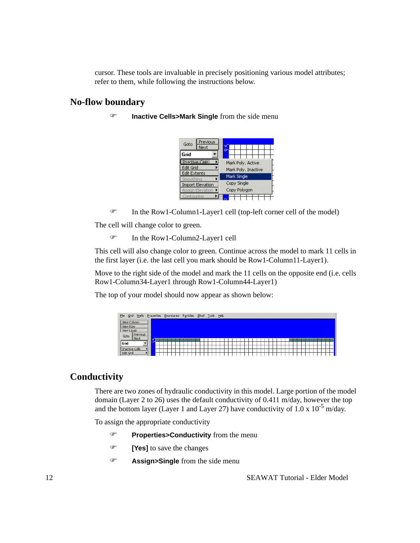cursor. These tools are invaluable in precisely positioning various model attributes; refer to them, while following the instructions below.

## **No-flow boundary**

) **Inactive Cells>Mark Single** from the side menu



) In the Row1-Column1-Layer1 cell (top-left corner cell of the model)

The cell will change color to green.

) In the Row1-Column2-Layer1 cell

This cell will also change color to green. Continue across the model to mark 11 cells in the first layer (i.e. the last cell you mark should be Row1-Column11-Layer1).

Move to the right side of the model and mark the 11 cells on the opposite end (i.e. cells Row1-Column34-Layer1 through Row1-Column44-Layer1)

The top of your model should now appear as shown below:

| File<br>Wells<br>Grid          | Properties |  | Boundaries Particles ZBud Tools |  |  |  | Help |  |  |  |  |  |  |  |  |  |  |  |
|--------------------------------|------------|--|---------------------------------|--|--|--|------|--|--|--|--|--|--|--|--|--|--|--|
| View Column<br>View Row        |            |  |                                 |  |  |  |      |  |  |  |  |  |  |  |  |  |  |  |
| View Layer                     |            |  |                                 |  |  |  |      |  |  |  |  |  |  |  |  |  |  |  |
| Previous<br>Goto<br>Next       | o.         |  |                                 |  |  |  |      |  |  |  |  |  |  |  |  |  |  |  |
| l Grid                         |            |  |                                 |  |  |  |      |  |  |  |  |  |  |  |  |  |  |  |
| Inactive Cells                 |            |  |                                 |  |  |  |      |  |  |  |  |  |  |  |  |  |  |  |
| Edit Grid<br>and the company's |            |  |                                 |  |  |  |      |  |  |  |  |  |  |  |  |  |  |  |

## **Conductivity**

There are two zones of hydraulic conductivity in this model. Large portion of the model domain (Layer 2 to 26) uses the default conductivity of 0.411 m/day, however the top and the bottom layer (Layer 1 and Layer 27) have conductivity of 1.0 x  $10^{-5}$  m/day.

To assign the appropriate conductivity

- ) **Properties>Conductivity** from the menu
- ) **[Yes]** to save the changes
- ) **Assign>Single** from the side menu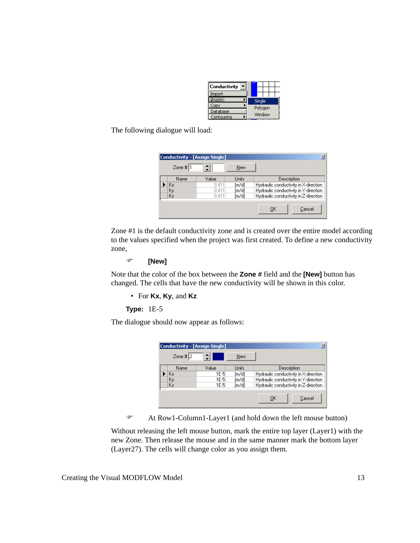| Conductivity |         |  |
|--------------|---------|--|
| Import       |         |  |
| (Assion)     | Single  |  |
| Copy         | Polygon |  |
| Database     |         |  |
| Contourina   | Window  |  |

The following dialogue will load:

|             | Conductivity - [Assign Single] |       |                                       |
|-------------|--------------------------------|-------|---------------------------------------|
| Zone # $ 1$ | ÷                              | New   |                                       |
| Name        | Value                          | Units | Description                           |
| Kх          | 0.411                          | [m/d] | Hydraulic conductivity in X-direction |
| Κy          | 0.411                          | [m/d] | Hydraulic conductivity in Y-direction |
| Kz          | 0.411                          | [m/d] | Hydraulic conductivity in Z-direction |
|             |                                |       | OK<br>Cancel                          |

Zone #1 is the default conductivity zone and is created over the entire model according to the values specified when the project was first created. To define a new conductivity zone,

#### ) **[New]**

Note that the color of the box between the **Zone #** field and the **[New]** button has changed. The cells that have the new conductivity will be shown in this color.

• For **Kx**, **Ky**, and **Kz**

### **Type:** 1E-5

The dialogue should now appear as follows:

| <b>Conductivity - [Assign Single]</b> |       |            | ⊠                                     |
|---------------------------------------|-------|------------|---------------------------------------|
| Zone # $ 2 $                          | ے     | <b>New</b> |                                       |
| Name                                  | Value | Units      | Description                           |
| Kх                                    | 1E-51 | [m/d]      | Hydraulic conductivity in X-direction |
| Kγ                                    | 1E-5  | [m/d]      | Hydraulic conductivity in Y-direction |
| Kz                                    | 1E-5  | [m/d]      | Hydraulic conductivity in Z-direction |
|                                       |       |            | OK<br>Cancel                          |

) At Row1-Column1-Layer1 (and hold down the left mouse button)

Without releasing the left mouse button, mark the entire top layer (Layer1) with the new Zone. Then release the mouse and in the same manner mark the bottom layer (Layer27). The cells will change color as you assign them.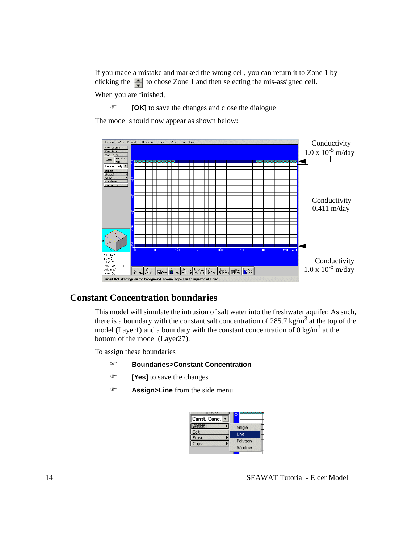If you made a mistake and marked the wrong cell, you can return it to Zone 1 by clicking the  $\Box$  to chose Zone 1 and then selecting the mis-assigned cell.

When you are finished,

) **[OK]** to save the changes and close the dialogue

The model should now appear as shown below:



## **Constant Concentration boundaries**

This model will simulate the intrusion of salt water into the freshwater aquifer. As such, there is a boundary with the constant salt concentration of 285.7 kg/m<sup>3</sup> at the top of the model (Layer1) and a boundary with the constant concentration of  $0 \text{ kg/m}^3$  at the bottom of the model (Layer27).

To assign these boundaries

- ) **Boundaries>Constant Concentration**
- ) **[Yes]** to save the changes
- ) **Assign>Line** from the side menu

| Const. Conc. |         |
|--------------|---------|
| Assion:      | Single  |
| Edit         | Line    |
| Erase        | Polygon |
| Copy         | Window  |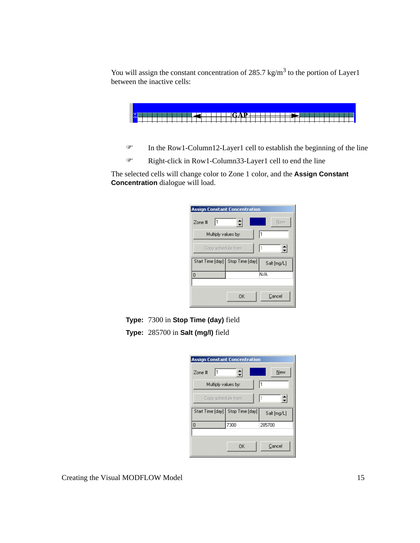You will assign the constant concentration of 285.7 kg/m<sup>3</sup> to the portion of Layer1 between the inactive cells:



) In the Row1-Column12-Layer1 cell to establish the beginning of the line

) Right-click in Row1-Column33-Layer1 cell to end the line

The selected cells will change color to Zone 1 color, and the **Assign Constant Concentration** dialogue will load.

| 1<br>$Zone$ #       | ≐                                | New         |
|---------------------|----------------------------------|-------------|
| Multiply values by: |                                  |             |
| Copy schedule from: |                                  | ۲           |
|                     | Start Time [day] Stop Time [day] | Salt [mg/L] |
| 0                   |                                  | N/A         |
|                     |                                  |             |

**Type:** 7300 in **Stop Time (day)** field

**Type:** 285700 in **Salt (mg/l)** field

| <b>Assign Constant Concentration</b><br>Zone #    | $\div$ | New    |  |  |  |  |  |
|---------------------------------------------------|--------|--------|--|--|--|--|--|
| 1<br>Multiply values by:                          |        |        |  |  |  |  |  |
| ≜<br>Copy schedule from:                          |        |        |  |  |  |  |  |
| Start Time [day] Stop Time [day]  <br>Salt [mg/L] |        |        |  |  |  |  |  |
| 0                                                 | 7300   | 285700 |  |  |  |  |  |
|                                                   |        |        |  |  |  |  |  |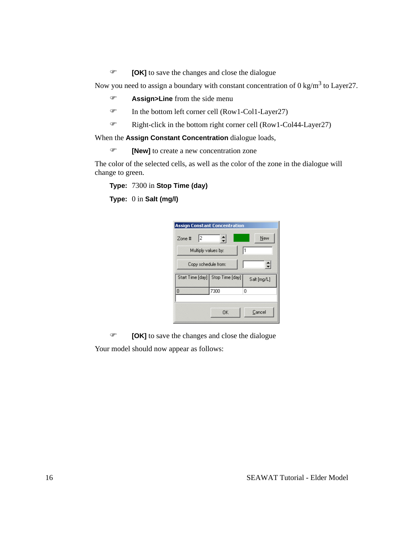) **[OK]** to save the changes and close the dialogue

Now you need to assign a boundary with constant concentration of 0 kg/m<sup>3</sup> to Layer27.

- ) **Assign>Line** from the side menu
- ) In the bottom left corner cell (Row1-Col1-Layer27)
- $\mathcal{F}$  Right-click in the bottom right corner cell (Row1-Col44-Layer27)

When the **Assign Constant Concentration** dialogue loads,

) **[New]** to create a new concentration zone

The color of the selected cells, as well as the color of the zone in the dialogue will change to green.

**Type:** 7300 in **Stop Time (day)**

**Type:** 0 in **Salt (mg/l)**

| <b>Assign Constant Concentration</b> |             |        |  |  |  |  |  |  |
|--------------------------------------|-------------|--------|--|--|--|--|--|--|
| 12<br>Zone #                         | $\div$      | New    |  |  |  |  |  |  |
| 1<br>Multiply values by:             |             |        |  |  |  |  |  |  |
| Copy schedule from:                  |             |        |  |  |  |  |  |  |
| Start Time [day] Stop Time [day]     | Salt [mg/L] |        |  |  |  |  |  |  |
| 0                                    | 7300        | 0      |  |  |  |  |  |  |
|                                      |             |        |  |  |  |  |  |  |
|                                      | OK          | Cancel |  |  |  |  |  |  |

) **[OK]** to save the changes and close the dialogue Your model should now appear as follows: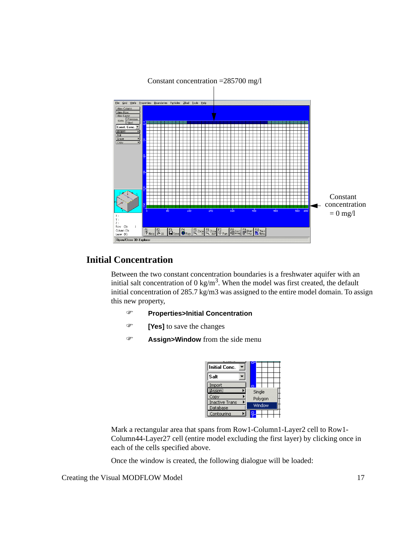

### Constant concentration =285700 mg/l

## **Initial Concentration**

Between the two constant concentration boundaries is a freshwater aquifer with an initial salt concentration of 0 kg/m<sup>3</sup>. When the model was first created, the default initial concentration of 285.7 kg/m3 was assigned to the entire model domain. To assign this new property,

- ) **Properties>Initial Concentration**
- ) **[Yes]** to save the changes
- ) **Assign>Window** from the side menu

| <b>Initial Conc.</b>  |         |
|-----------------------|---------|
| Salt                  |         |
| Import                | e       |
| Assion)               | Single  |
| Copy                  | Polygon |
| <b>Inactive Trans</b> |         |
| Database              | Window  |
| Contouring            |         |

Mark a rectangular area that spans from Row1-Column1-Layer2 cell to Row1- Column44-Layer27 cell (entire model excluding the first layer) by clicking once in each of the cells specified above.

Once the window is created, the following dialogue will be loaded: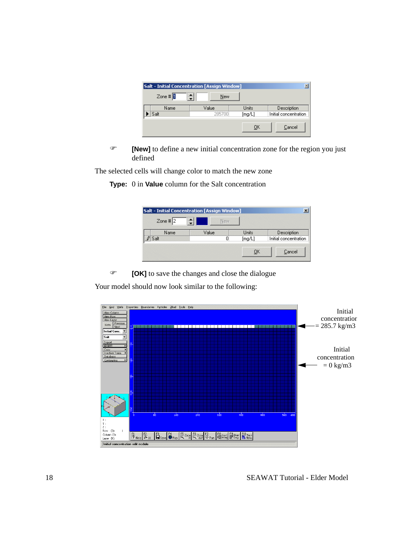| ×<br><b>Salt - Initial Concentration [Assign Window]</b> |                 |                 |                                      |  |  |  |  |
|----------------------------------------------------------|-----------------|-----------------|--------------------------------------|--|--|--|--|
| Zone $\sharp$                                            | New             |                 |                                      |  |  |  |  |
| Name<br>Salt                                             | Value<br>285700 | Units<br>[mg/L] | Description<br>Initial concentration |  |  |  |  |
|                                                          |                 | OK              | Cancel                               |  |  |  |  |

**EXECUTE:** [New] to define a new initial concentration zone for the region you just defined

The selected cells will change color to match the new zone

**Type:** 0 in **Value** column for the Salt concentration

| Zone # $2$ | New.  |        |                       |
|------------|-------|--------|-----------------------|
| Name       | Value | Units  | <b>Description</b>    |
| Ü<br>Salt  |       | [mq/L] | Initial concentration |
|            |       | ОΚ     | Cancel                |

) **[OK]** to save the changes and close the dialogue

Your model should now look similar to the following:

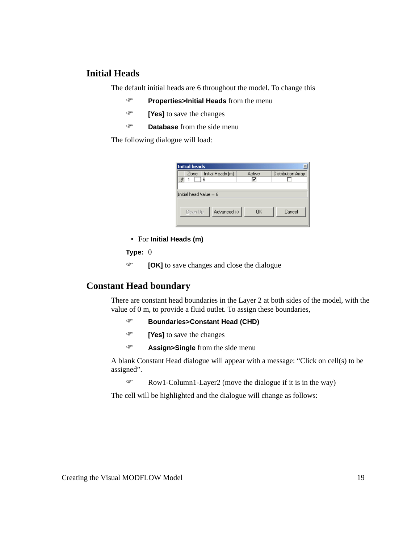### **Initial Heads**

The default initial heads are 6 throughout the model. To change this

- ) **Properties>Initial Heads** from the menu
- ) **[Yes]** to save the changes
- ) **Database** from the side menu

The following dialogue will load:

| Initial heads                      |            |                    |
|------------------------------------|------------|--------------------|
| Initial Heads [m]<br>Zone          | Active     | Distribution Array |
| 8<br>6<br>Initial head Value $= 6$ | ⊽          |                    |
|                                    |            |                    |
| Advanced >><br>Clean Up            | <u>о</u> к | Cancel             |

• For **Initial Heads (m)**

#### **Type:** 0

) **[OK]** to save changes and close the dialogue

## **Constant Head boundary**

There are constant head boundaries in the Layer 2 at both sides of the model, with the value of 0 m, to provide a fluid outlet. To assign these boundaries,

- ) **Boundaries>Constant Head (CHD)**
- ) **[Yes]** to save the changes
- ) **Assign>Single** from the side menu

A blank Constant Head dialogue will appear with a message: "Click on cell(s) to be assigned".

 $\mathcal{F}$  Row1-Column1-Layer2 (move the dialogue if it is in the way)

The cell will be highlighted and the dialogue will change as follows: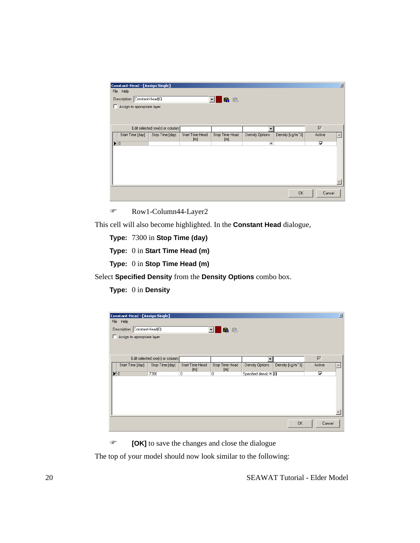| Constant-Head - [Assign Single]<br>File Help<br>Description: Constant-Head(0)<br>Assign to appropriate layer |                                 |                        | 6 陷<br>$\mathbf{r}$   |                      |                  |                            | 図 |
|--------------------------------------------------------------------------------------------------------------|---------------------------------|------------------------|-----------------------|----------------------|------------------|----------------------------|---|
|                                                                                                              | Edit selected row(s) or column: |                        |                       |                      |                  | $\overline{\triangledown}$ |   |
| Start Time [day]                                                                                             | Stop Time [day]                 | Start Time Head<br>[m] | Stop Time Head<br>[m] | Density Options      | Density [kg/m^3] | Active                     |   |
| $\blacktriangleright$ 0                                                                                      |                                 |                        |                       | $\blacktriangledown$ |                  | ⊽                          |   |
|                                                                                                              |                                 |                        |                       |                      |                  |                            |   |
|                                                                                                              |                                 |                        |                       |                      | <b>OK</b>        | Cancel                     |   |

) Row1-Column44-Layer2

This cell will also become highlighted. In the **Constant Head** dialogue,

**Type:** 7300 in **Stop Time (day)**

**Type:** 0 in **Start Time Head (m)**

**Type:** 0 in **Stop Time Head (m)**

Select **Specified Density** from the **Density Options** combo box.

**Type:** 0 in **Density**

|            | Constant-Head - [Assign Single]<br>File Help<br>Description: Constant-Head(0)<br>Assign to appropriate layer |                                 |                        | 临险<br>$\mathbf{r}$    |                      |                  |                            | 図 |
|------------|--------------------------------------------------------------------------------------------------------------|---------------------------------|------------------------|-----------------------|----------------------|------------------|----------------------------|---|
|            |                                                                                                              | Edit selected row(s) or column: |                        |                       |                      |                  | $\overline{\triangledown}$ |   |
|            | Start Time [day]                                                                                             | Stop Time [day]                 | Start Time Head<br>[m] | Stop Time Head<br>[m] | Density Options      | Density [kg/m^3] | Active                     |   |
| $\sqrt{0}$ |                                                                                                              | 7300                            | $\overline{0}$         | 0                     | Specified densit • 0 |                  | ⊽                          |   |
|            |                                                                                                              |                                 |                        |                       |                      |                  |                            |   |
|            |                                                                                                              |                                 |                        |                       |                      |                  |                            |   |
|            |                                                                                                              |                                 |                        |                       |                      | <b>OK</b>        | Cancel                     |   |

) **[OK]** to save the changes and close the dialogue

The top of your model should now look similar to the following: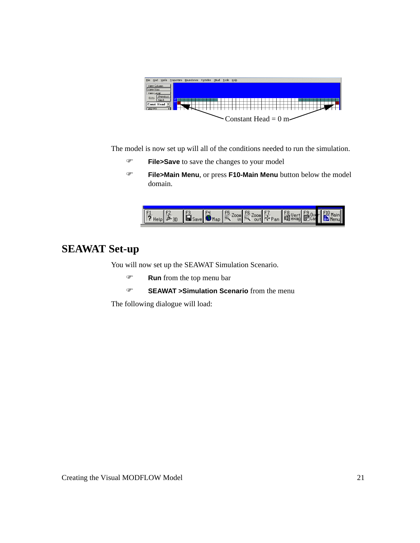

The model is now set up will all of the conditions needed to run the simulation.

- ) **File>Save** to save the changes to your model
- ) **File>Main Menu**, or press **F10-Main Menu** button below the model domain.



# **SEAWAT Set-up**

You will now set up the SEAWAT Simulation Scenario.

- ) **Run** from the top menu bar
- ) **SEAWAT >Simulation Scenario** from the menu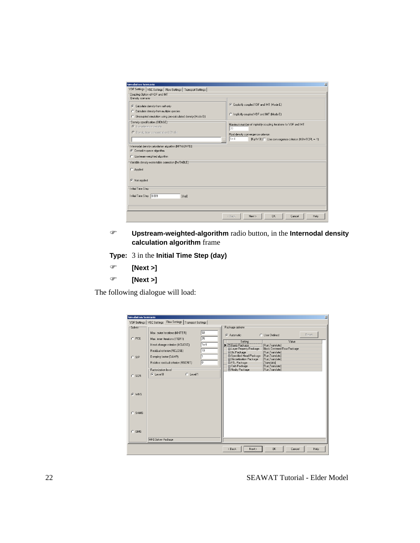| <b>Simulation Scenario</b>                                                                                                                                                              | ×                                                                                                                                                                                          |
|-----------------------------------------------------------------------------------------------------------------------------------------------------------------------------------------|--------------------------------------------------------------------------------------------------------------------------------------------------------------------------------------------|
| VDF Settings   VSC Settings   Flow Settings   Transport Settings  <br>Coupling Option of VDF and IMT-<br>Density scenario                                                               |                                                                                                                                                                                            |
| C Calculate density from salt only<br>C Calculate density from multiple species<br>C Uncoupled simulation using pre-calculated density [Mode D]                                         | Explicitly coupled VDF and IMT (Mode E)<br>C Implicitly coupled VDF and IMT (Mode E)                                                                                                       |
| Density specification (IDENSE)<br>C Use reference density<br>C Density from concentration UCN file<br>                                                                                  | Maximum number of implicitly coupling iterations for VDF and IMT<br>20<br>Fluid density convergence criterion<br>$1e-4$<br>[Kg/m <sup>*3]</sup>   Use convergence criterion [NSWTCPL = -1] |
| Internodal density calculation algorithm [MFNADVFD]<br>C Central-in-space algorithm<br>C Upstream-weighted algorithm<br>Variable density water table correction [IWTABLE]-<br>C Applied |                                                                                                                                                                                            |
| C Not applied<br>Initial Time Step                                                                                                                                                      |                                                                                                                                                                                            |
| Initial Time Step 0.001<br>[day]                                                                                                                                                        |                                                                                                                                                                                            |
|                                                                                                                                                                                         | QK<br>Next ><br>Help<br>< Back<br>Cancel                                                                                                                                                   |

) **Upstream-weighted-algorithm** radio button, in the **Internodal density calculation algorithm** frame

**Type:** 3 in the **Initial Time Step (day)**

- ) **[Next >]**
- ) **[Next >]**

|         | VDF Settings   VSC Settings   Flow Settings   Transport Settings                               |                    |                                                                                                                                                                                                              |
|---------|------------------------------------------------------------------------------------------------|--------------------|--------------------------------------------------------------------------------------------------------------------------------------------------------------------------------------------------------------|
| Solver  | Max. outer iterations (MXITER)                                                                 | 50                 | Package options<br>Reset<br>C Automatic<br>C User Defined                                                                                                                                                    |
| $C$ PCG | Max. inner iterations (ITER1)<br>Head change criterion (HCLOSE)<br>Residual criterion (RCLOSE) | 25<br>$1e-6$<br>10 | Value<br>Setting<br>$\blacktriangleright$ $\Box$ Basic Package<br>[Run,Translate]<br>El Layer Property Package<br><b>Block Centered Flow Package</b>                                                         |
| $C$ SIP | Damping factor (DAMP)<br>Relative residual criterion (RSCRIT)                                  | 10                 | FI Oc Package<br>[Run.Translate]<br>El Specified Head Package<br>[Run,Translate]<br><b>El Discretization Package</b><br>[Run,Translate]<br>E FTL Package<br>[Translate]<br>田 Calb Package<br>[Run,Translate] |
| $C$ SOR | Factorization level<br>C Level 1<br>$G$ Level $0$                                              |                    | El Nodry Package<br>[Run,Translate]                                                                                                                                                                          |
| G WHS   |                                                                                                |                    |                                                                                                                                                                                                              |
| C SAMG  |                                                                                                |                    |                                                                                                                                                                                                              |
| $C$ GMG | WHS Solver Package                                                                             |                    |                                                                                                                                                                                                              |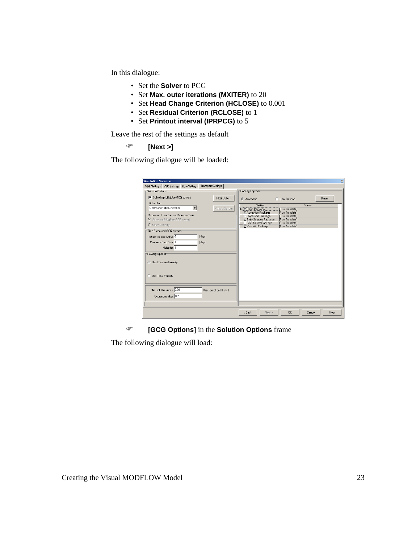In this dialogue:

- Set the **Solver** to PCG
- Set **Max. outer iterations (MXITER)** to 20
- Set **Head Change Criterion (HCLOSE)** to 0.001
- Set **Residual Criterion (RCLOSE)** to 1
- Set **Printout interval (IPRPCG)** to 5

Leave the rest of the settings as default

) **[Next >]**

The following dialogue will be loaded:

| VDF Settings   VSC Settings   Flow Settings   Transport Settings |                           | Package options                                         |                                    |       |       |
|------------------------------------------------------------------|---------------------------|---------------------------------------------------------|------------------------------------|-------|-------|
| Solution Options                                                 |                           |                                                         |                                    |       |       |
| Solve Implicitly(Use GCG solver)                                 | GCG Options               | C Automatic                                             | C. User Defined                    |       | Reset |
| <b>Advection</b>                                                 |                           | Setting                                                 |                                    | Value |       |
| Upstream Finite Difference                                       | Particle Options          | <b>E</b> Basic Package                                  | [Run.Translate]                    |       |       |
|                                                                  |                           | <b>El Advection Package</b>                             | [Run,Translate]                    |       |       |
| Dispersion, Reaction and Sources/Sink-                           |                           | <b>El Dispersion Package</b>                            | [Run,Translate]                    |       |       |
| Solve Implicitly [Use GCG solver]                                |                           | <b>El Sink/Sources Package</b><br>FI GCG Solver Package | [Run,Translate]<br>[Run.Translate] |       |       |
| C Solve Explicitly                                               |                           | <b>El Viscosity Package</b>                             | [Run,Translate]                    |       |       |
| Time Steps and GCG options                                       |                           |                                                         |                                    |       |       |
| [day]<br>Initial step size (DT0): 0                              |                           |                                                         |                                    |       |       |
| Maximum Step Size: 1<br>[day]                                    |                           |                                                         |                                    |       |       |
|                                                                  |                           |                                                         |                                    |       |       |
| Multiplier: 1                                                    |                           |                                                         |                                    |       |       |
| Porosity Options                                                 |                           |                                                         |                                    |       |       |
|                                                                  |                           |                                                         |                                    |       |       |
| C Use Effective Porosity                                         |                           |                                                         |                                    |       |       |
|                                                                  |                           |                                                         |                                    |       |       |
|                                                                  |                           |                                                         |                                    |       |       |
| C Use Total Porosity                                             |                           |                                                         |                                    |       |       |
|                                                                  |                           |                                                         |                                    |       |       |
|                                                                  |                           |                                                         |                                    |       |       |
| Min. sat. thickness: 0.01                                        | (fraction of cell thick.) |                                                         |                                    |       |       |
| Courant number: 0.75                                             |                           |                                                         |                                    |       |       |
|                                                                  |                           |                                                         |                                    |       |       |
|                                                                  |                           |                                                         |                                    |       |       |
|                                                                  |                           |                                                         |                                    |       |       |

) **[GCG Options]** in the **Solution Options** frame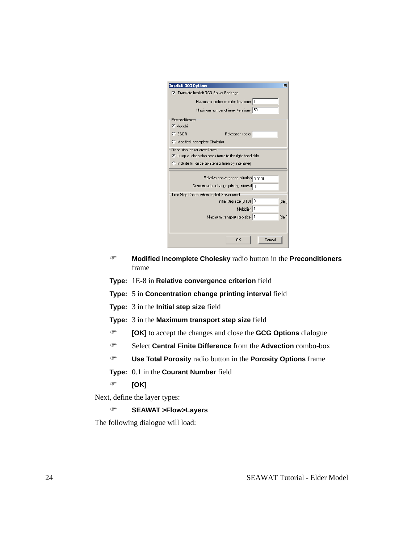| <b>Implicit GCG Options</b>                              | × |
|----------------------------------------------------------|---|
| □ Translate Implicit GCG Solver Package                  |   |
| Maximum number of outer iterations: 1                    |   |
| Maximum number of inner iterations: 50                   |   |
| Preconditioners                                          |   |
| $\bullet$ Jacobi                                         |   |
| $C$ SSOR<br>Relaxation factor: 1                         |   |
| Modified Incomplete Cholesky                             |   |
| Dispersion tensor cross terms:                           |   |
| C Lump all dispersion cross terms to the right hand side |   |
| C Include full dispersion tensor (memory intensive)      |   |
|                                                          |   |
| Relative convergence criterion 0.0001                    |   |
| Concentration change printing interval $\boxed{0}$       |   |
| Time Step Control when Implicit Solver used              |   |
| Initial step size (DT0): 0<br>[day]                      |   |
| Multiplier: 1                                            |   |
| Maximum transport step size: 1<br>[day]                  |   |
|                                                          |   |
|                                                          |   |
| <b>OK</b><br>Cancel                                      |   |

- ) **Modified Incomplete Cholesky** radio button in the **Preconditioners** frame
- **Type:** 1E-8 in **Relative convergence criterion** field
- **Type:** 5 in **Concentration change printing interval** field
- **Type:** 3 in the **Initial step size** field
- **Type:** 3 in the **Maximum transport step size** field
- ) **[OK]** to accept the changes and close the **GCG Options** dialogue
- ) Select **Central Finite Difference** from the **Advection** combo-box
- ) **Use Total Porosity** radio button in the **Porosity Options** frame
- **Type:** 0.1 in the **Courant Number** field
- ) **[OK]**

Next, define the layer types:

) **SEAWAT >Flow>Layers**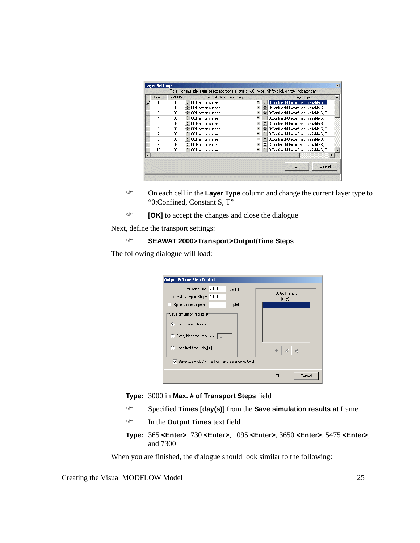| Layer | LAYCON |   | Interblock transmissivity |   | Laver type                             |
|-------|--------|---|---------------------------|---|----------------------------------------|
|       | 03     |   | ≑ 00:Harmonic mean        | ÷ | 3:Confined/Unconfined, variable S, T   |
| 2     | 03     |   | → 00:Harmonic mean        |   | 3: Confined/Unconfined, variable S, T  |
| 3     | 03     |   | ♦ 00:Harmonic mean        |   | 3:Confined/Unconfined, variable S, T   |
| 4     | 03     |   | ≑ 00:Harmonic mean        |   | 3: Confined/Unconfined, variable S, T  |
| 5     | 03     |   | → 00:Harmonic mean        |   | 3:Confined/Unconfined, variable S . T  |
| 6     | 03     |   | ≑ 00:Harmonic mean        |   | 3:Confined/Unconfined, variable S, T   |
|       | 03     | ÷ | 00:Harmonic mean          |   | 3:Confined/Unconfined, variable S, T   |
| 8     | 03     | ÷ | 00:Harmonic mean          | ÷ | 3: Confined/Unconfined, variable S. T. |
| 9     | 03     |   | → 00:Harmonic mean        |   | 3: Confined/Unconfined, variable S, T  |
| 10    | 03     |   | - 00:Harmonic mean        |   | 3: Confined/Unconfined, variable S. T  |
|       |        |   |                           |   |                                        |
|       |        |   |                           |   |                                        |
|       |        |   |                           |   | QK<br>Cancel                           |

- ) On each cell in the **Layer Type** column and change the current layer type to "0:Confined, Constant S, T"
- ) **[OK]** to accept the changes and close the dialogue

Next, define the transport settings:

### ) **SEAWAT 2000>Transport>Output/Time Steps**

The following dialogue will load:

| <b>Output &amp; Time Step Control</b>           |                |
|-------------------------------------------------|----------------|
| Simulation time: 7300<br>day[s]                 | Output Time(s) |
| Max # transport Steps: 1000                     | [day]          |
| $\Box$ Specify max stepsize: $\Box$<br>day(s)   |                |
| Save simulation results at:                     |                |
| End of simulation only                          |                |
| $\bullet$ Every Nth time step: N = 10           |                |
| C Specified times [day[s]]                      | ÞΞ<br>×        |
| ○ Save .CBM/.CCM file (for Mass Balance output) |                |
|                                                 | OK<br>Cancel   |

#### **Type:** 3000 in **Max. # of Transport Steps** field

- ) Specified **Times [day(s)]** from the **Save simulation results at** frame
- ) In the **Output Times** text field
- **Type:** 365 **<Enter>**, 730 **<Enter>**, 1095 **<Enter>**, 3650 **<Enter>**, 5475 **<Enter>**, and 7300

When you are finished, the dialogue should look similar to the following: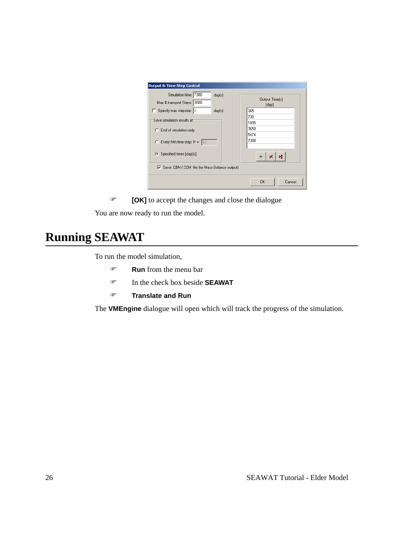| <b>Output &amp; Time Step Control</b>                          |                           |
|----------------------------------------------------------------|---------------------------|
| Simulation time: 7300<br>day[s]<br>Max # transport Steps: 3000 | Output Time(s)<br>[day]   |
| Specify max stepsize: 0<br>day(s)                              | 365                       |
| Save simulation results at:                                    | 730                       |
|                                                                | 1095                      |
| C End of simulation only                                       | 3650                      |
|                                                                | 5474                      |
| $\degree$ Every Nth time step: N = 10                          | 7300                      |
| Specified times [day(s)]<br>G.                                 | på.<br>$\mathbf x$<br>$+$ |
| ◯ Save .CBM / CCM file (for Mass Balance output)               |                           |
|                                                                | Cancel<br>0K              |

) **[OK]** to accept the changes and close the dialogue

You are now ready to run the model.

# **Running SEAWAT**

To run the model simulation,

- ) **Run** from the menu bar
- ) In the check box beside **SEAWAT**
- ) **Translate and Run**

The **VMEngine** dialogue will open which will track the progress of the simulation.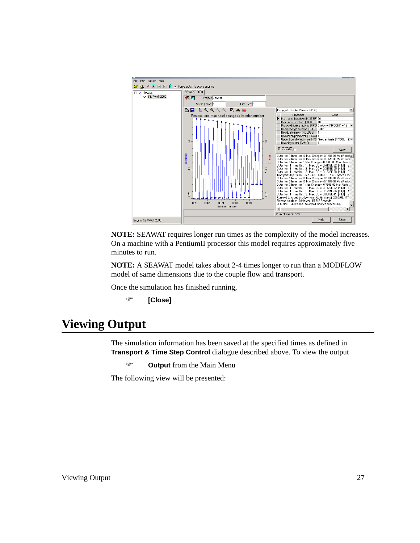

**NOTE:** SEAWAT requires longer run times as the complexity of the model increases. On a machine with a PentiumII processor this model requires approximately five minutes to run.

**NOTE:** A SEAWAT model takes about 2-4 times longer to run than a MODFLOW model of same dimensions due to the couple flow and transport.

Once the simulation has finished running,

```
) [Close]
```
# **Viewing Output**

The simulation information has been saved at the specified times as defined in **Transport & Time Step Control** dialogue described above. To view the output

) **Output** from the Main Menu

The following view will be presented: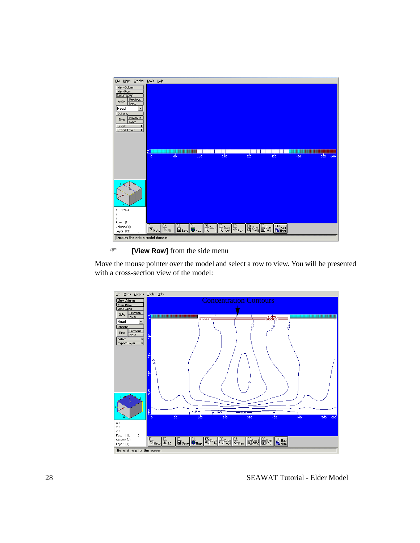| Maps Graphs<br>Eile                                                       | <b>Tools</b> | Help                                  |         |     |     |     |                                                                                                                                                                                                                                                                                                                                                                                                         |     |     |     |
|---------------------------------------------------------------------------|--------------|---------------------------------------|---------|-----|-----|-----|---------------------------------------------------------------------------------------------------------------------------------------------------------------------------------------------------------------------------------------------------------------------------------------------------------------------------------------------------------------------------------------------------------|-----|-----|-----|
| View Column<br>View Row<br>Miew Laver<br>Previous<br>Goto<br>Next<br>Head |              |                                       |         |     |     |     |                                                                                                                                                                                                                                                                                                                                                                                                         |     |     |     |
| Options<br>Previous<br>Time<br>Next<br>Select<br>Export Layer             |              |                                       |         |     |     |     |                                                                                                                                                                                                                                                                                                                                                                                                         |     |     |     |
|                                                                           |              |                                       |         |     |     |     |                                                                                                                                                                                                                                                                                                                                                                                                         |     |     |     |
|                                                                           | å.<br>b.     |                                       | $_{80}$ | 160 | 240 | 320 | 400                                                                                                                                                                                                                                                                                                                                                                                                     | 480 | 560 | 600 |
|                                                                           |              |                                       |         |     |     |     |                                                                                                                                                                                                                                                                                                                                                                                                         |     |     |     |
|                                                                           |              |                                       |         |     |     |     |                                                                                                                                                                                                                                                                                                                                                                                                         |     |     |     |
| X: 339.3<br>Υ:<br>$\mathbb{Z}$ :                                          |              |                                       |         |     |     |     |                                                                                                                                                                                                                                                                                                                                                                                                         |     |     |     |
| $(I)$ :<br>Row<br>Column (J):<br>Layer (K):                               |              | $\frac{F1}{2}$ Help $\frac{F2}{4}$ 30 |         |     |     |     | <b>F</b> Save $\begin{bmatrix} F^4 \\ \hline \mathbf{H} \end{bmatrix}$ and $\begin{bmatrix} F^5 \\ \hline \mathbf{R} \end{bmatrix}$ zoom $\begin{bmatrix} F^2 \\ \hline \mathbf{R} \end{bmatrix}$ zoom $\begin{bmatrix} F^3 \\ \hline \mathbf{R} \end{bmatrix}$ examples $\begin{bmatrix} F^3 \\ \hline \mathbf{R} \end{bmatrix}$ be the $\begin{bmatrix} F^3 \\ \hline \mathbf{R} \end{bmatrix}$ hence |     |     |     |
| Display the entire model domain                                           |              |                                       |         |     |     |     |                                                                                                                                                                                                                                                                                                                                                                                                         |     |     |     |

### ) **[View Row]** from the side menu

Move the mouse pointer over the model and select a row to view. You will be presented with a cross-section view of the model:

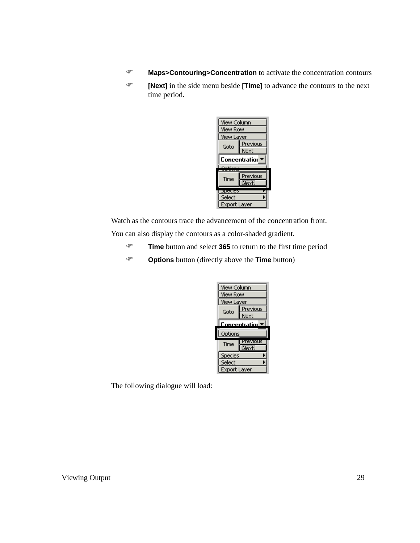- ) **Maps>Contouring>Concentration** to activate the concentration contours
- ) **[Next]** in the side menu beside **[Time]** to advance the contours to the next time period.



Watch as the contours trace the advancement of the concentration front. You can also display the contours as a color-shaded gradient.

- ) **Time** button and select **365** to return to the first time period
- ) **Options** button (directly above the **Time** button)

| View Column          |                   |  |  |  |  |  |
|----------------------|-------------------|--|--|--|--|--|
| <b>View Row</b>      |                   |  |  |  |  |  |
| View Layer           |                   |  |  |  |  |  |
| Goto                 | Previous          |  |  |  |  |  |
|                      | Next              |  |  |  |  |  |
| <b>Concentration</b> |                   |  |  |  |  |  |
|                      |                   |  |  |  |  |  |
| Options              |                   |  |  |  |  |  |
| Time                 | Previous          |  |  |  |  |  |
| Species              | $N$ e $\times$ F) |  |  |  |  |  |
| Select               |                   |  |  |  |  |  |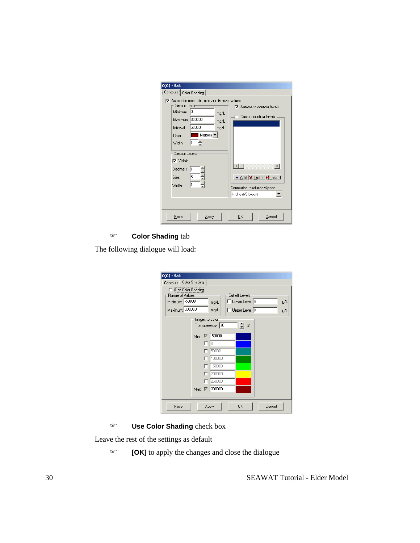| $C(0)$ - Salt | Contours   Color Shading  <br>Contour Lines<br>Minimum: 0<br>Maximum: 300000<br>Interval:<br>Color<br>Width<br>Contour Labels<br>$\nabla$ Visible<br>Decimals:<br>Size:<br><b>Width:</b> | $\nabla$ Automatic reset min, max and interval values<br>50000<br>Maroon -<br>$\frac{1}{1}$<br>6<br>쉬<br>Ħ | mg/L<br>mg/L<br>mg/L | ⊣<br>Highest/Slowest | Automatic contour levels<br>Custom contour levels<br>$\blacktriangleright$<br>* Add   X Delete > Insert<br>Contouring resolution/Speed |
|---------------|------------------------------------------------------------------------------------------------------------------------------------------------------------------------------------------|------------------------------------------------------------------------------------------------------------|----------------------|----------------------|----------------------------------------------------------------------------------------------------------------------------------------|
|               | Reset                                                                                                                                                                                    | Apply                                                                                                      |                      | OΚ                   | Cancel                                                                                                                                 |

### ) **Color Shading** tab

The following dialogue will load:

| $C(0)$ - Salt          |                                           |
|------------------------|-------------------------------------------|
| Contours Color Shading |                                           |
| Use Color Shading      |                                           |
| Range of Values        | Cut off Levels-                           |
| Minimum: - 50000       | $\Box$ Lower Level $\Box$<br>mg/L<br>mg/L |
| Maximum: 300000        | $\Box$ Upper Level $\Box$<br>mg/L<br>mg/L |
|                        | Ranges to color                           |
|                        | Transparency: 30<br>$\%$                  |
|                        | $\nabla$ 50000<br>Min                     |
|                        |                                           |
|                        | 50000                                     |
|                        | 100000                                    |
|                        | 150000                                    |
|                        | 200000                                    |
|                        | 250000                                    |
|                        | $\nabla$ 300000<br>Max                    |
|                        |                                           |
| Reset                  | Apply<br>QK<br>Cancel                     |

) **Use Color Shading** check box

Leave the rest of the settings as default

) **[OK]** to apply the changes and close the dialogue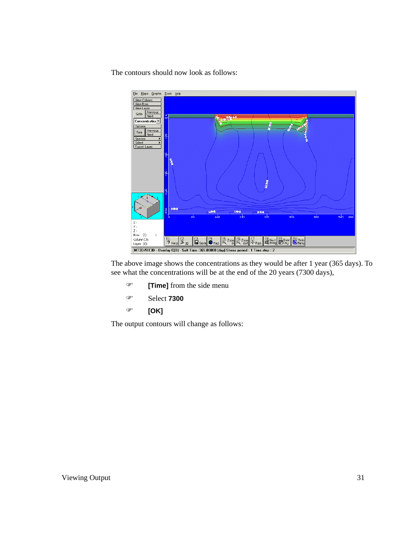The contours should now look as follows:



The above image shows the concentrations as they would be after 1 year (365 days). To see what the concentrations will be at the end of the 20 years (7300 days),

- ) **[Time]** from the side menu
- ) Select **7300**
- ) **[OK]**

The output contours will change as follows: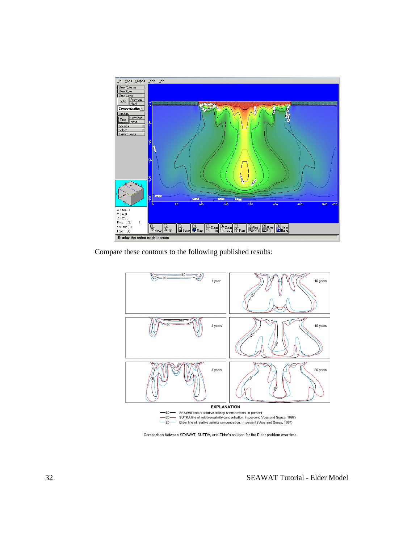

Compare these contours to the following published results:



Comparison between SEAWAT, SUTRA, and Elder's solution for the Elder problem over time.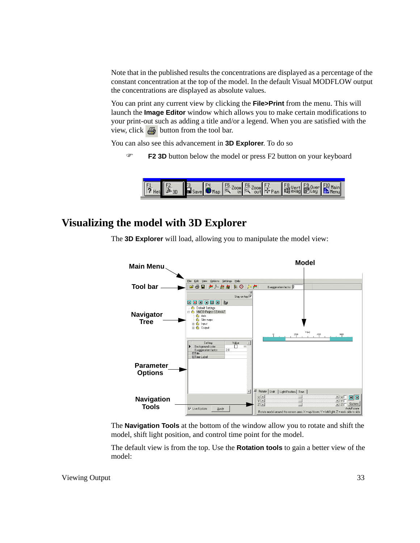Note that in the published results the concentrations are displayed as a percentage of the constant concentration at the top of the model. In the default Visual MODFLOW output the concentrations are displayed as absolute values.

You can print any current view by clicking the **File>Print** from the menu. This will launch the **Image Editor** window which allows you to make certain modifications to your print-out such as adding a title and/or a legend. When you are satisfied with the view, click  $\mathbf{B}$  button from the tool bar.

You can also see this advancement in **3D Explorer**. To do so

) **F2 3D** button below the model or press F2 button on your keyboard



## **Visualizing the model with 3D Explorer**

The **3D Explorer** will load, allowing you to manipulate the model view:



The **Navigation Tools** at the bottom of the window allow you to rotate and shift the model, shift light position, and control time point for the model.

The default view is from the top. Use the **Rotation tools** to gain a better view of the model: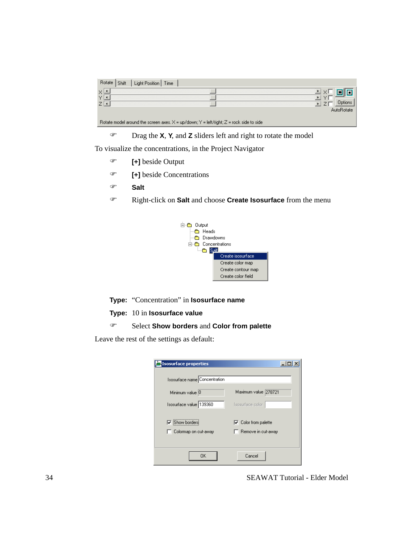| Light Position  <br>Time                                                                  |  |
|-------------------------------------------------------------------------------------------|--|
|                                                                                           |  |
|                                                                                           |  |
|                                                                                           |  |
| Rotate model around the screen axes, $X = up/down; Y = left/right; Z = rock$ side to side |  |

) Drag the **X**, **Y**, and **Z** sliders left and right to rotate the model

To visualize the concentrations, in the Project Navigator

- ) **[+]** beside Output
- ) **[+]** beside Concentrations
- ) **Salt**
- ) Right-click on **Salt** and choose **Create Isosurface** from the menu



**Type:** "Concentration" in **Isosurface name**

**Type:** 10 in **Isosurface value**

### ) Select **Show borders** and **Color from palette**

Leave the rest of the settings as default:

| <b>Isosurface properties</b>  |                             |
|-------------------------------|-----------------------------|
|                               |                             |
| Isosurface name Concentration |                             |
| Minimum value 0               | Maximum value 278721        |
| Isosurface value 139360       | Isosurface color            |
|                               |                             |
| $\nabla$ Show borders         | $\nabla$ Color from palette |
| Colormap on cut-away          | Bemove in cut-away ]        |
|                               |                             |
| 0K                            | Cancel                      |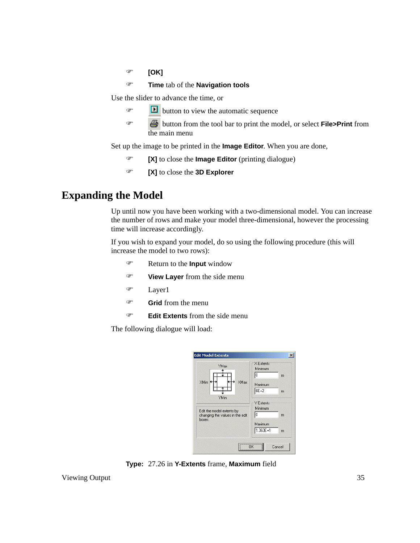) **[OK]**

) **Time** tab of the **Navigation tools**

Use the slider to advance the time, or

- $\bullet$  **button to view the automatic sequence**
- ) button from the tool bar to print the model, or select **File>Print** from the main menu

Set up the image to be printed in the **Image Editor**. When you are done,

- ) **[X]** to close the **Image Editor** (printing dialogue)
- ) **[X]** to close the **3D Explorer**

## **Expanding the Model**

Up until now you have been working with a two-dimensional model. You can increase the number of rows and make your model three-dimensional, however the processing time will increase accordingly.

If you wish to expand your model, do so using the following procedure (this will increase the model to two rows):

- ) Return to the **Input** window
- ) **View Layer** from the side menu
- ) Layer1
- ) **Grid** from the menu
- ) **Edit Extents** from the side menu

| <b>YMax</b>                                                            | $\times$ Extents<br>Minimum<br>0<br>m |
|------------------------------------------------------------------------|---------------------------------------|
| <b>XMin</b><br>XMax<br>YMin                                            | Maximum<br>6E+2<br>m                  |
| Edit the model extents by<br>changing the values in the edit<br>boxes. | Y Extents:<br>Minimum<br>Ю<br>m       |
|                                                                        | Maximum<br>1.363E+1<br>m              |

**Type:** 27.26 in **Y-Extents** frame, **Maximum** field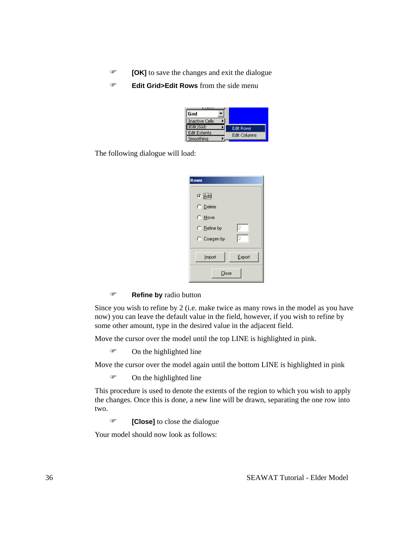- ) **[OK]** to save the changes and exit the dialogue
- ) **Edit Grid>Edit Rows** from the side menu

| Grid                  |                     |
|-----------------------|---------------------|
| <b>Inactive Cells</b> |                     |
| <b>Edit Grid</b>      | <b>Edit Rows</b>    |
| <b>Edit Extents</b>   | <b>Edit Columns</b> |
| Smoothing             |                     |

The following dialogue will load:

| Rows                                |  |
|-------------------------------------|--|
| $\bullet$ $\overline{\triangle}$ dd |  |
| C Delete                            |  |
| $\bigcirc$ Move                     |  |
| I2<br>$\bigcirc$ Refine by          |  |
| 12<br>C Coargen by                  |  |
| Export<br>Import                    |  |
| Close                               |  |

#### ) **Refine by** radio button

Since you wish to refine by 2 (i.e. make twice as many rows in the model as you have now) you can leave the default value in the field, however, if you wish to refine by some other amount, type in the desired value in the adjacent field.

Move the cursor over the model until the top LINE is highlighted in pink.

 $\mathcal{F}$  On the highlighted line

Move the cursor over the model again until the bottom LINE is highlighted in pink

) On the highlighted line

This procedure is used to denote the extents of the region to which you wish to apply the changes. Once this is done, a new line will be drawn, separating the one row into two.

) **[Close]** to close the dialogue

Your model should now look as follows: